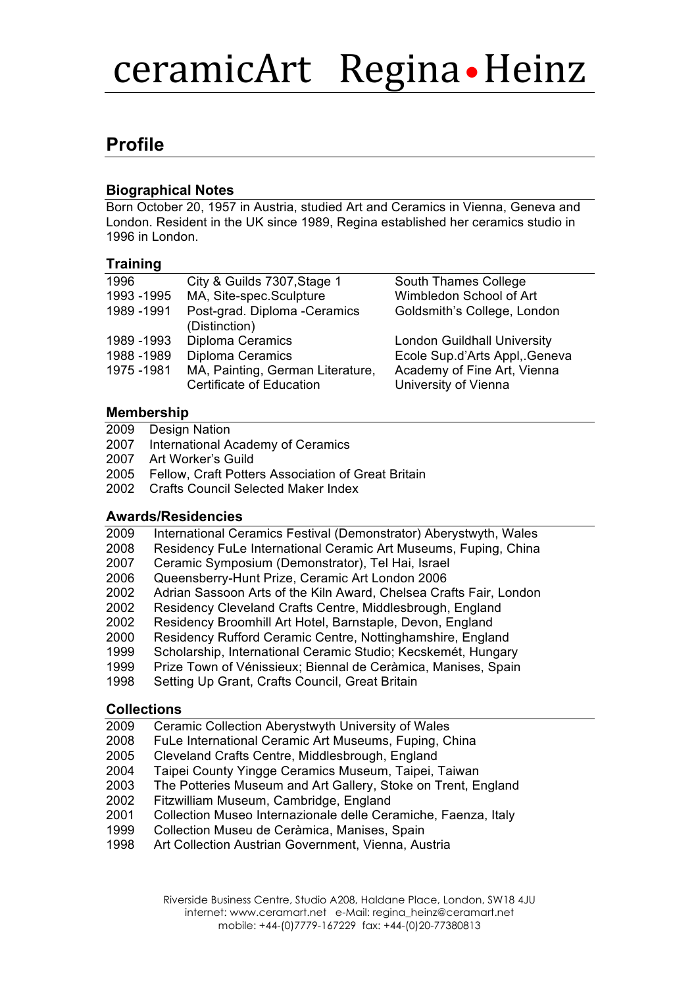# ceramicArt Regina • Heinz

# **Profile**

### **Biographical Notes**

Born October 20, 1957 in Austria, studied Art and Ceramics in Vienna, Geneva and London. Resident in the UK since 1989, Regina established her ceramics studio in 1996 in London.

### **Training**

| 1996        | City & Guilds 7307, Stage 1                                  | South Thames College                                |
|-------------|--------------------------------------------------------------|-----------------------------------------------------|
| 1993 - 1995 | MA, Site-spec.Sculpture                                      | Wimbledon School of Art                             |
| 1989 - 1991 | Post-grad. Diploma -Ceramics<br>(Distinction)                | Goldsmith's College, London                         |
| 1989 - 1993 | Diploma Ceramics                                             | <b>London Guildhall University</b>                  |
| 1988 - 1989 | <b>Diploma Ceramics</b>                                      | Ecole Sup.d'Arts Appl, Geneva                       |
| 1975 - 1981 | MA, Painting, German Literature,<br>Certificate of Education | Academy of Fine Art, Vienna<br>University of Vienna |
|             |                                                              |                                                     |

### **Membership**

- 2009 Design Nation
- 2007 International Academy of Ceramics
- 2007 Art Worker's Guild
- 2005 Fellow, Craft Potters Association of Great Britain
- 2002 Crafts Council Selected Maker Index

#### **Awards/Residencies**

- 2009 International Ceramics Festival (Demonstrator) Aberystwyth, Wales
- 2008 Residency FuLe International Ceramic Art Museums, Fuping, China
- 2007 Ceramic Symposium (Demonstrator), Tel Hai, Israel
- 2006 Queensberry-Hunt Prize, Ceramic Art London 2006
- 2002 Adrian Sassoon Arts of the Kiln Award, Chelsea Crafts Fair, London
- 2002 Residency Cleveland Crafts Centre, Middlesbrough, England
- 2002 Residency Broomhill Art Hotel, Barnstaple, Devon, England
- 2000 Residency Rufford Ceramic Centre, Nottinghamshire, England
- 1999 Scholarship, International Ceramic Studio; Kecskemét, Hungary
- 1999 Prize Town of Vénissieux; Biennal de Ceràmica, Manises, Spain
- 1998 Setting Up Grant, Crafts Council, Great Britain

#### **Collections**

- 2009 Ceramic Collection Aberystwyth University of Wales
- 2008 FuLe International Ceramic Art Museums, Fuping, China
- 2005 Cleveland Crafts Centre, Middlesbrough, England
- 2004 Taipei County Yingge Ceramics Museum, Taipei, Taiwan
- 2003 The Potteries Museum and Art Gallery, Stoke on Trent, England
- 2002 Fitzwilliam Museum, Cambridge, England
- 2001 Collection Museo Internazionale delle Ceramiche, Faenza, Italy
- 1999 Collection Museu de Ceràmica, Manises, Spain
- 1998 Art Collection Austrian Government, Vienna, Austria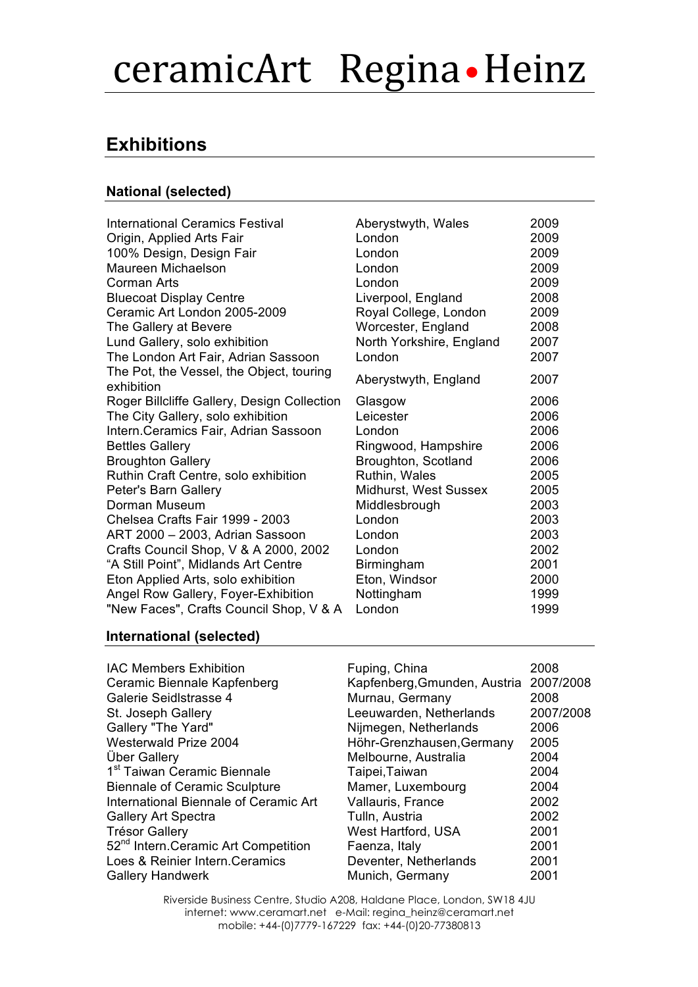# ceramicArt Regina . Heinz

# **Exhibitions**

## **National (selected)**

International Ceramics Festival **Aberystwyth, Wales** 2009 Origin, Applied Arts Fair 100% Design, Design Fair Maureen Michaelson Corman Arts Bluecoat Display Centre Ceramic Art London 2005-2009 The Gallery at Bevere Lund Gallery, solo exhibition The London Art Fair, Adrian Sassoon The Pot, the Vessel, the Object, touring The Fotting Vesser, the Object, touring Aberystwyth, England 2007<br>exhibition Roger Billcliffe Gallery, Design Collection The City Gallery, solo exhibition Intern.Ceramics Fair, Adrian Sassoon **Bettles Gallerv Broughton Gallery** Ruthin Craft Centre, solo exhibition Peter's Barn Gallery Dorman Museum Chelsea Crafts Fair 1999 - 2003  $ART 2000 - 2003$ , Adrian Sassoon Crafts Council Shop, V & A 2000, 2002 "A Still Point", Midlands Art Centre Eton Applied Arts, solo exhibition Angel Row Gallery, Foyer-Exhibition "New Faces", Crafts Council Shop, V & A

| AUCI YSLWYLII, VYAICS    | ∠ບບອ |
|--------------------------|------|
| London                   | 2009 |
| London                   | 2009 |
| London                   | 2009 |
| London                   | 2009 |
| Liverpool, England       | 2008 |
| Royal College, London    | 2009 |
| Worcester, England       | 2008 |
| North Yorkshire, England | 2007 |
| London                   | 2007 |
| Aberystwyth, England     | 2007 |
| Glasgow                  | 2006 |
| Leicester                | 2006 |
| London                   | 2006 |
| Ringwood, Hampshire      | 2006 |
| Broughton, Scotland      | 2006 |
| Ruthin, Wales            | 2005 |
| Midhurst, West Sussex    | 2005 |
| Middlesbrough            | 2003 |
| London                   | 2003 |
| London                   | 2003 |
| London                   | 2002 |
| Birmingham               | 2001 |
| Eton, Windsor            | 2000 |
| Nottingham               | 1999 |
| London                   | 1999 |

### **International (selected)**

| <b>IAC Members Exhibition</b>                   | Fuping, China                          | 2008      |
|-------------------------------------------------|----------------------------------------|-----------|
| Ceramic Biennale Kapfenberg                     | Kapfenberg, Gmunden, Austria 2007/2008 |           |
| Galerie Seidlstrasse 4                          | Murnau, Germany                        | 2008      |
| St. Joseph Gallery                              | Leeuwarden, Netherlands                | 2007/2008 |
| Gallery "The Yard"                              | Nijmegen, Netherlands                  | 2006      |
| Westerwald Prize 2004                           | Höhr-Grenzhausen, Germany              | 2005      |
| <b>Über Gallery</b>                             | Melbourne, Australia                   | 2004      |
| 1 <sup>st</sup> Taiwan Ceramic Biennale         | Taipei, Taiwan                         | 2004      |
| <b>Biennale of Ceramic Sculpture</b>            | Mamer, Luxembourg                      | 2004      |
| International Biennale of Ceramic Art           | Vallauris, France                      | 2002      |
| <b>Gallery Art Spectra</b>                      | Tulln, Austria                         | 2002      |
| <b>Trésor Gallery</b>                           | West Hartford, USA                     | 2001      |
| 52 <sup>nd</sup> Intern.Ceramic Art Competition | Faenza, Italy                          | 2001      |
| Loes & Reinier Intern. Ceramics                 | Deventer, Netherlands                  | 2001      |
| <b>Gallery Handwerk</b>                         | Munich, Germany                        | 2001      |

Riverside Business Centre, Studio A208, Haldane Place, London, SW18 4JU internet: www.ceramart.net e-Mail: regina\_heinz@ceramart.net mobile: +44-(0)7779-167229 fax: +44-(0)20-77380813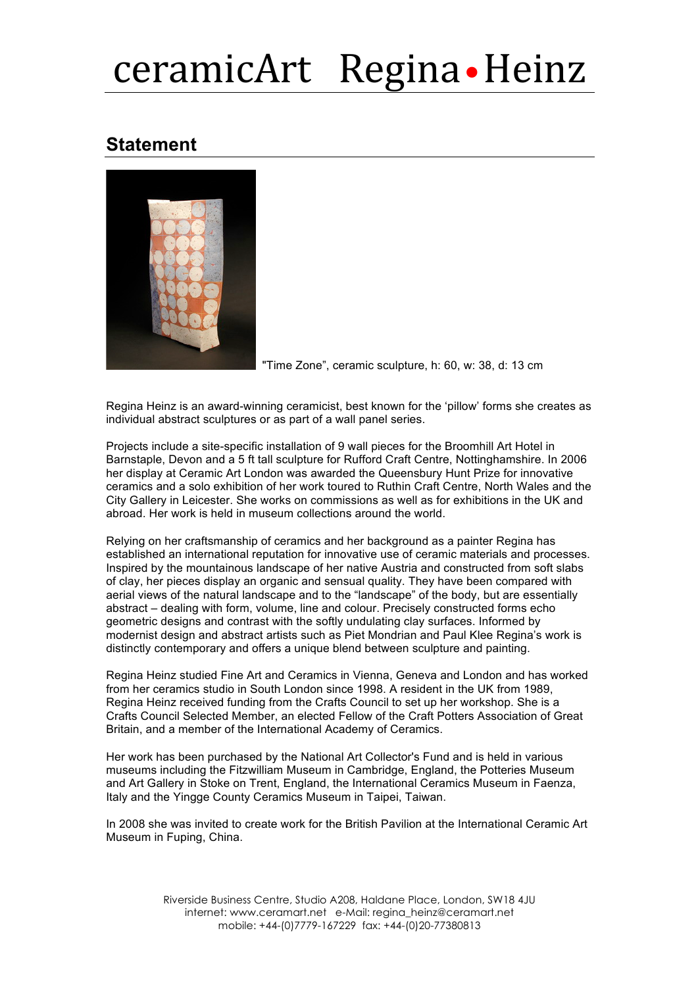# ceramicArt Regina • Heinz

## **Statement**



"Time Zone", ceramic sculpture, h: 60, w: 38, d: 13 cm

Regina Heinz is an award-winning ceramicist, best known for the 'pillow' forms she creates as individual abstract sculptures or as part of a wall panel series.

Projects include a site-specific installation of 9 wall pieces for the Broomhill Art Hotel in Barnstaple, Devon and a 5 ft tall sculpture for Rufford Craft Centre, Nottinghamshire. In 2006 her display at Ceramic Art London was awarded the Queensbury Hunt Prize for innovative ceramics and a solo exhibition of her work toured to Ruthin Craft Centre, North Wales and the City Gallery in Leicester. She works on commissions as well as for exhibitions in the UK and abroad. Her work is held in museum collections around the world.

Relying on her craftsmanship of ceramics and her background as a painter Regina has established an international reputation for innovative use of ceramic materials and processes. Inspired by the mountainous landscape of her native Austria and constructed from soft slabs of clay, her pieces display an organic and sensual quality. They have been compared with aerial views of the natural landscape and to the "landscape" of the body, but are essentially abstract – dealing with form, volume, line and colour. Precisely constructed forms echo geometric designs and contrast with the softly undulating clay surfaces. Informed by modernist design and abstract artists such as Piet Mondrian and Paul Klee Regina's work is distinctly contemporary and offers a unique blend between sculpture and painting.

Regina Heinz studied Fine Art and Ceramics in Vienna, Geneva and London and has worked from her ceramics studio in South London since 1998. A resident in the UK from 1989, Regina Heinz received funding from the Crafts Council to set up her workshop. She is a Crafts Council Selected Member, an elected Fellow of the Craft Potters Association of Great Britain, and a member of the International Academy of Ceramics.

Her work has been purchased by the National Art Collector's Fund and is held in various museums including the Fitzwilliam Museum in Cambridge, England, the Potteries Museum and Art Gallery in Stoke on Trent, England, the International Ceramics Museum in Faenza, Italy and the Yingge County Ceramics Museum in Taipei, Taiwan.

In 2008 she was invited to create work for the British Pavilion at the International Ceramic Art Museum in Fuping, China.